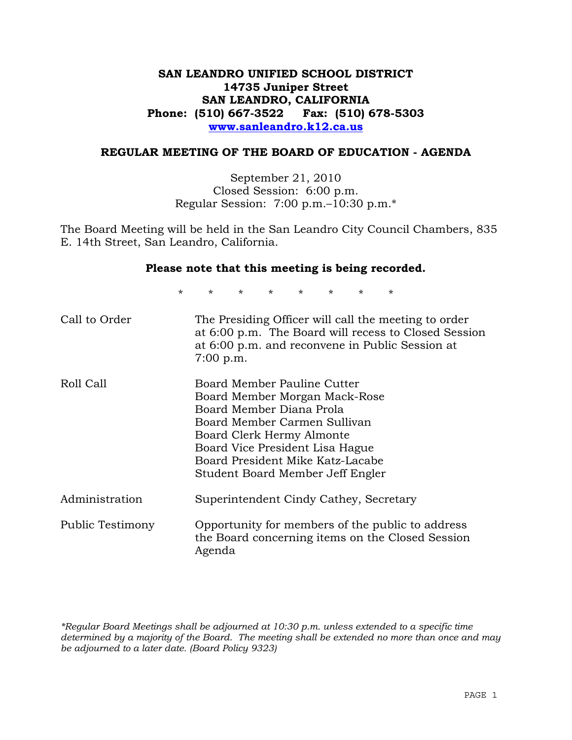## **SAN LEANDRO UNIFIED SCHOOL DISTRICT 14735 Juniper Street SAN LEANDRO, CALIFORNIA Phone: (510) 667-3522 Fax: (510) 678-5303 www.sanleandro.k12.ca.us**

#### **REGULAR MEETING OF THE BOARD OF EDUCATION - AGENDA**

September 21, 2010 Closed Session: 6:00 p.m. Regular Session: 7:00 p.m.–10:30 p.m.\*

The Board Meeting will be held in the San Leandro City Council Chambers, 835 E. 14th Street, San Leandro, California.

#### **Please note that this meeting is being recorded.**

\* \* \* \* \* \* \* \*

| Call to Order    | The Presiding Officer will call the meeting to order<br>at 6:00 p.m. The Board will recess to Closed Session<br>at 6:00 p.m. and reconvene in Public Session at<br>$7:00$ p.m.                                                                                   |
|------------------|------------------------------------------------------------------------------------------------------------------------------------------------------------------------------------------------------------------------------------------------------------------|
| Roll Call        | Board Member Pauline Cutter<br>Board Member Morgan Mack-Rose<br>Board Member Diana Prola<br>Board Member Carmen Sullivan<br>Board Clerk Hermy Almonte<br>Board Vice President Lisa Hague<br>Board President Mike Katz-Lacabe<br>Student Board Member Jeff Engler |
| Administration   | Superintendent Cindy Cathey, Secretary                                                                                                                                                                                                                           |
| Public Testimony | Opportunity for members of the public to address<br>the Board concerning items on the Closed Session<br>Agenda                                                                                                                                                   |

*\*Regular Board Meetings shall be adjourned at 10:30 p.m. unless extended to a specific time determined by a majority of the Board. The meeting shall be extended no more than once and may be adjourned to a later date. (Board Policy 9323)*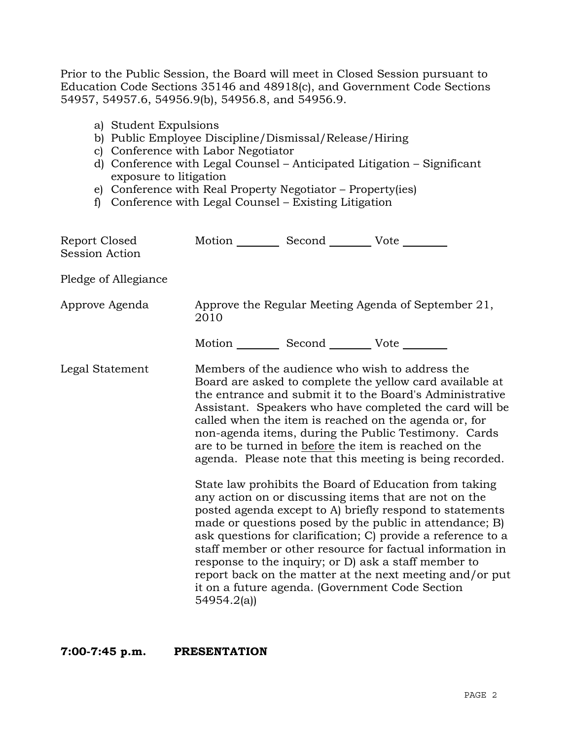Prior to the Public Session, the Board will meet in Closed Session pursuant to Education Code Sections 35146 and 48918(c), and Government Code Sections 54957, 54957.6, 54956.9(b), 54956.8, and 54956.9.

- a) Student Expulsions
- b) Public Employee Discipline/Dismissal/Release/Hiring
- c) Conference with Labor Negotiator
- d) Conference with Legal Counsel Anticipated Litigation Significant exposure to litigation
- e) Conference with Real Property Negotiator Property(ies)
- f) Conference with Legal Counsel Existing Litigation

| Report Closed<br>Session Action |            | Motion __________ Second __________ Vote ________     |                                                                                                                                                                                                                                                                                                                                                                                                                                                                                                                                                                                                                                                                                                                                                                                                                                                                                                                                                                                                                        |
|---------------------------------|------------|-------------------------------------------------------|------------------------------------------------------------------------------------------------------------------------------------------------------------------------------------------------------------------------------------------------------------------------------------------------------------------------------------------------------------------------------------------------------------------------------------------------------------------------------------------------------------------------------------------------------------------------------------------------------------------------------------------------------------------------------------------------------------------------------------------------------------------------------------------------------------------------------------------------------------------------------------------------------------------------------------------------------------------------------------------------------------------------|
| Pledge of Allegiance            |            |                                                       |                                                                                                                                                                                                                                                                                                                                                                                                                                                                                                                                                                                                                                                                                                                                                                                                                                                                                                                                                                                                                        |
| Approve Agenda                  | 2010       |                                                       | Approve the Regular Meeting Agenda of September 21,                                                                                                                                                                                                                                                                                                                                                                                                                                                                                                                                                                                                                                                                                                                                                                                                                                                                                                                                                                    |
|                                 |            | Motion ___________ Second ____________ Vote _________ |                                                                                                                                                                                                                                                                                                                                                                                                                                                                                                                                                                                                                                                                                                                                                                                                                                                                                                                                                                                                                        |
| Legal Statement                 | 54954.2(a) |                                                       | Members of the audience who wish to address the<br>Board are asked to complete the yellow card available at<br>the entrance and submit it to the Board's Administrative<br>Assistant. Speakers who have completed the card will be<br>called when the item is reached on the agenda or, for<br>non-agenda items, during the Public Testimony. Cards<br>are to be turned in before the item is reached on the<br>agenda. Please note that this meeting is being recorded.<br>State law prohibits the Board of Education from taking<br>any action on or discussing items that are not on the<br>posted agenda except to A) briefly respond to statements<br>made or questions posed by the public in attendance; B)<br>ask questions for clarification; C) provide a reference to a<br>staff member or other resource for factual information in<br>response to the inquiry; or D) ask a staff member to<br>report back on the matter at the next meeting and/or put<br>it on a future agenda. (Government Code Section |

**7:00-7:45 p.m. PRESENTATION**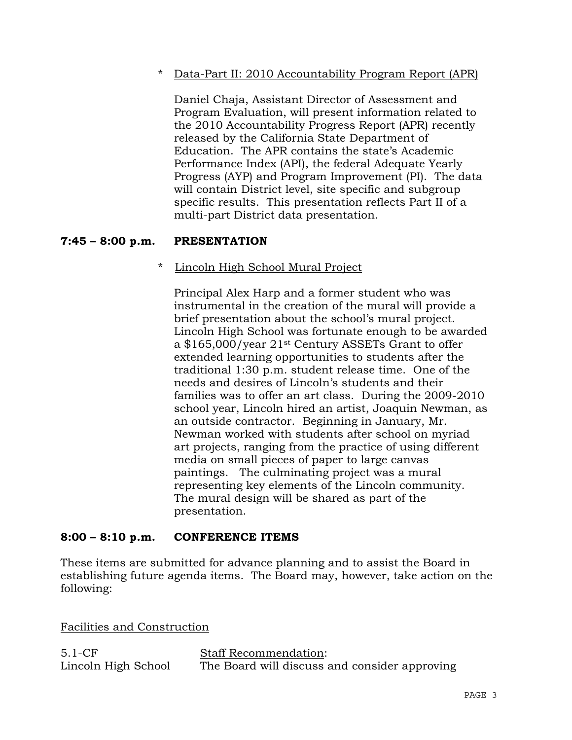\* Data-Part II: 2010 Accountability Program Report (APR)

Daniel Chaja, Assistant Director of Assessment and Program Evaluation, will present information related to the 2010 Accountability Progress Report (APR) recently released by the California State Department of Education. The APR contains the state's Academic Performance Index (API), the federal Adequate Yearly Progress (AYP) and Program Improvement (PI). The data will contain District level, site specific and subgroup specific results. This presentation reflects Part II of a multi-part District data presentation.

## **7:45 – 8:00 p.m. PRESENTATION**

#### \* Lincoln High School Mural Project

Principal Alex Harp and a former student who was instrumental in the creation of the mural will provide a brief presentation about the school's mural project. Lincoln High School was fortunate enough to be awarded a \$165,000/year 21st Century ASSETs Grant to offer extended learning opportunities to students after the traditional 1:30 p.m. student release time. One of the needs and desires of Lincoln's students and their families was to offer an art class. During the 2009-2010 school year, Lincoln hired an artist, Joaquin Newman, as an outside contractor. Beginning in January, Mr. Newman worked with students after school on myriad art projects, ranging from the practice of using different media on small pieces of paper to large canvas paintings. The culminating project was a mural representing key elements of the Lincoln community. The mural design will be shared as part of the presentation.

#### **8:00 – 8:10 p.m. CONFERENCE ITEMS**

These items are submitted for advance planning and to assist the Board in establishing future agenda items. The Board may, however, take action on the following:

Facilities and Construction

| $5.1-CF$            | <b>Staff Recommendation:</b>                  |  |
|---------------------|-----------------------------------------------|--|
| Lincoln High School | The Board will discuss and consider approving |  |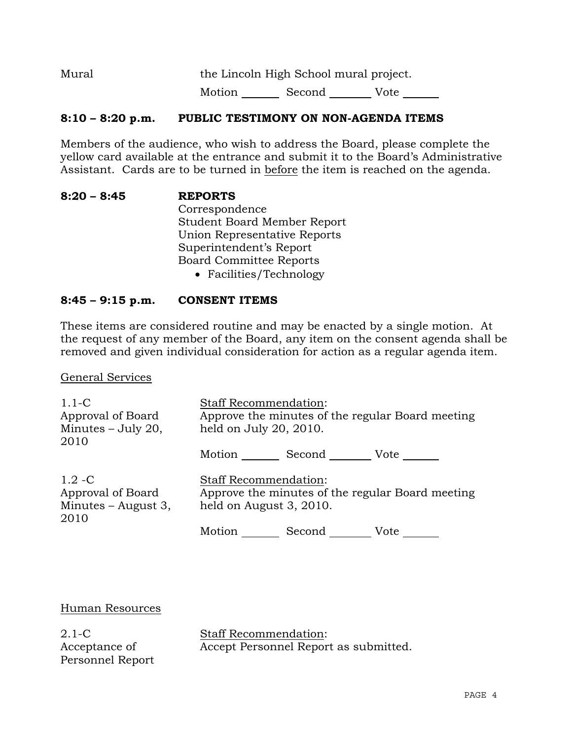Mural the Lincoln High School mural project.

Motion Second Vote

## **8:10 – 8:20 p.m. PUBLIC TESTIMONY ON NON-AGENDA ITEMS**

Members of the audience, who wish to address the Board, please complete the yellow card available at the entrance and submit it to the Board's Administrative Assistant. Cards are to be turned in before the item is reached on the agenda.

**8:20 – 8:45 REPORTS** Correspondence Student Board Member Report Union Representative Reports Superintendent's Report Board Committee Reports Facilities/Technology

#### **8:45 – 9:15 p.m. CONSENT ITEMS**

These items are considered routine and may be enacted by a single motion. At the request of any member of the Board, any item on the consent agenda shall be removed and given individual consideration for action as a regular agenda item.

General Services

| $1.1-C$<br>Approval of Board<br>Minutes - July 20,<br>2010      | <b>Staff Recommendation:</b><br>Approve the minutes of the regular Board meeting<br>held on July 20, 2010.  |  |
|-----------------------------------------------------------------|-------------------------------------------------------------------------------------------------------------|--|
|                                                                 | Motion ______<br>Second Vote                                                                                |  |
| $1.2 - C$<br>Approval of Board<br>Minutes $-$ August 3,<br>2010 | <b>Staff Recommendation:</b><br>Approve the minutes of the regular Board meeting<br>held on August 3, 2010. |  |
|                                                                 | Motion<br>Second Vote                                                                                       |  |

Human Resources

2.1-C Acceptance of Personnel Report Staff Recommendation: Accept Personnel Report as submitted.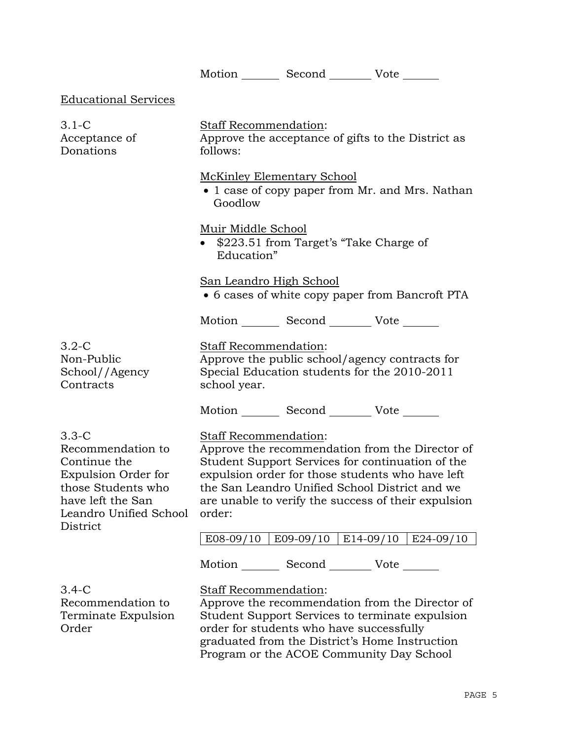Motion Second Vote Educational Services 3.1-C Acceptance of Donations Staff Recommendation: Approve the acceptance of gifts to the District as follows: McKinley Elementary School • 1 case of copy paper from Mr. and Mrs. Nathan Goodlow Muir Middle School • \$223.51 from Target's "Take Charge of Education" San Leandro High School 6 cases of white copy paper from Bancroft PTA Motion Second Vote 3.2-C Non-Public School//Agency **Contracts** Staff Recommendation: Approve the public school/agency contracts for Special Education students for the 2010-2011 school year. Motion Second Vote 3.3-C Recommendation to Continue the Expulsion Order for those Students who have left the San Leandro Unified School **District** Staff Recommendation: Approve the recommendation from the Director of Student Support Services for continuation of the expulsion order for those students who have left the San Leandro Unified School District and we are unable to verify the success of their expulsion order: | E08-09/10 | E09-09/10 | E14-09/10 | E24-09/10 | Motion Second Vote \_\_\_\_\_\_\_ 3.4-C Recommendation to Terminate Expulsion Order Staff Recommendation: Approve the recommendation from the Director of Student Support Services to terminate expulsion order for students who have successfully graduated from the District's Home Instruction Program or the ACOE Community Day School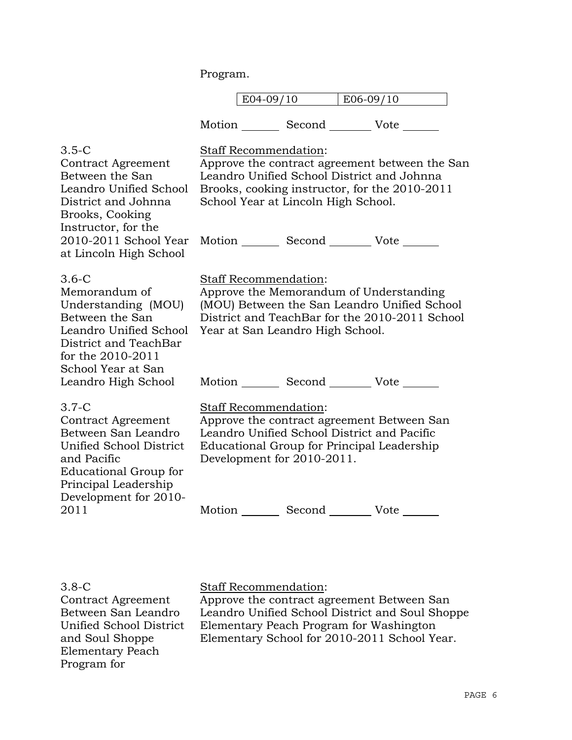Program.

|  | 1 $\cap$ |
|--|----------|
|--|----------|

Motion Second Vote \_\_\_\_\_\_

| $3.5-C$<br><b>Contract Agreement</b><br>Between the San<br>Leandro Unified School<br>District and Johnna<br>Brooks, Cooking<br>Instructor, for the<br>2010-2011 School Year<br>at Lincoln High School | Staff Recommendation:<br>Approve the contract agreement between the San<br>Leandro Unified School District and Johnna<br>Brooks, cooking instructor, for the 2010-2011<br>School Year at Lincoln High School.<br>Motion _________ Second __________ Vote _______ |
|-------------------------------------------------------------------------------------------------------------------------------------------------------------------------------------------------------|------------------------------------------------------------------------------------------------------------------------------------------------------------------------------------------------------------------------------------------------------------------|
| $3.6 - C$<br>Memorandum of<br>Understanding (MOU)<br>Between the San<br>Leandro Unified School<br>District and TeachBar<br>for the 2010-2011<br>School Year at San<br>Leandro High School             | <b>Staff Recommendation:</b><br>Approve the Memorandum of Understanding<br>(MOU) Between the San Leandro Unified School<br>District and TeachBar for the 2010-2011 School<br>Year at San Leandro High School.<br>Motion _________ Second __________ Vote _______ |
| $3.7-C$<br>Contract Agreement<br>Between San Leandro<br>Unified School District<br>and Pacific<br>Educational Group for<br>Principal Leadership<br>Development for 2010-<br>2011                      | Staff Recommendation:<br>Approve the contract agreement Between San<br>Leandro Unified School District and Pacific<br>Educational Group for Principal Leadership<br>Development for 2010-2011.<br>Motion _________ Second __________ Vote _______                |

3.8-C

Contract Agreement Between San Leandro Unified School District and Soul Shoppe Elementary Peach Program for

## Staff Recommendation:

Approve the contract agreement Between San Leandro Unified School District and Soul Shoppe Elementary Peach Program for Washington Elementary School for 2010-2011 School Year.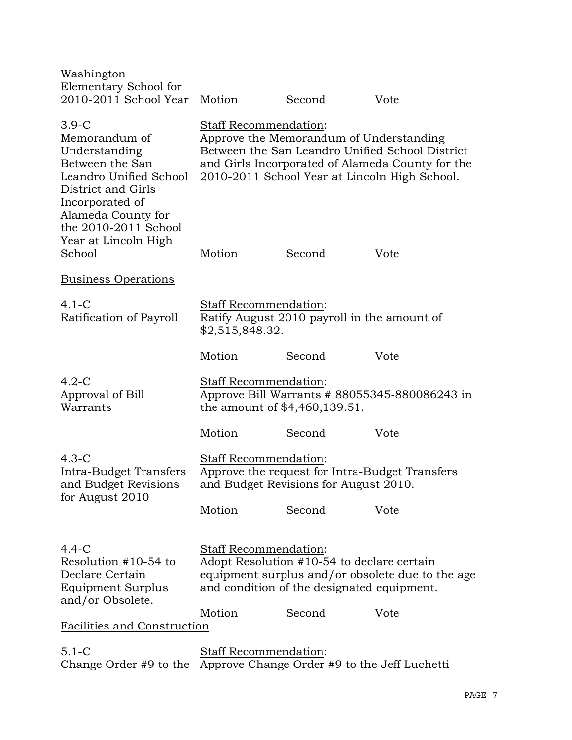| Washington<br>Elementary School for<br>2010-2011 School Year                                                                                                                                          | Motion _________ Second __________ Vote _______                                                                                                                                                                           |  |  |
|-------------------------------------------------------------------------------------------------------------------------------------------------------------------------------------------------------|---------------------------------------------------------------------------------------------------------------------------------------------------------------------------------------------------------------------------|--|--|
| $3.9-C$<br>Memorandum of<br>Understanding<br>Between the San<br>Leandro Unified School<br>District and Girls<br>Incorporated of<br>Alameda County for<br>the 2010-2011 School<br>Year at Lincoln High | Staff Recommendation:<br>Approve the Memorandum of Understanding<br>Between the San Leandro Unified School District<br>and Girls Incorporated of Alameda County for the<br>2010-2011 School Year at Lincoln High School.  |  |  |
| School                                                                                                                                                                                                | Motion _________ Second __________ Vote _______                                                                                                                                                                           |  |  |
| <b>Business Operations</b>                                                                                                                                                                            |                                                                                                                                                                                                                           |  |  |
| $4.1-C$<br>Ratification of Payroll                                                                                                                                                                    | Staff Recommendation:<br>Ratify August 2010 payroll in the amount of<br>\$2,515,848.32.                                                                                                                                   |  |  |
|                                                                                                                                                                                                       | Motion _________ Second __________ Vote _______                                                                                                                                                                           |  |  |
| $4.2-C$<br>Approval of Bill<br>Warrants                                                                                                                                                               | Staff Recommendation:<br>Approve Bill Warrants # 88055345-880086243 in<br>the amount of \$4,460,139.51.                                                                                                                   |  |  |
|                                                                                                                                                                                                       | Motion _________ Second __________ Vote _______                                                                                                                                                                           |  |  |
| $4.3-C$<br>Intra-Budget Transfers<br>and Budget Revisions<br>for August 2010                                                                                                                          | Staff Recommendation:<br>Approve the request for Intra-Budget Transfers<br>and Budget Revisions for August 2010.                                                                                                          |  |  |
|                                                                                                                                                                                                       | Motion _________ Second __________ Vote _______                                                                                                                                                                           |  |  |
| $4.4 - C$<br>Resolution #10-54 to<br>Declare Certain<br>Equipment Surplus<br>and/or Obsolete.                                                                                                         | Staff Recommendation:<br>Adopt Resolution #10-54 to declare certain<br>equipment surplus and/or obsolete due to the age<br>and condition of the designated equipment.<br>Motion _________ Second ___________ Vote _______ |  |  |
| <b>Facilities and Construction</b>                                                                                                                                                                    |                                                                                                                                                                                                                           |  |  |
| $5.1 - C$                                                                                                                                                                                             | <b>Staff Recommendation:</b><br>Change Order #9 to the Approve Change Order #9 to the Jeff Luchetti                                                                                                                       |  |  |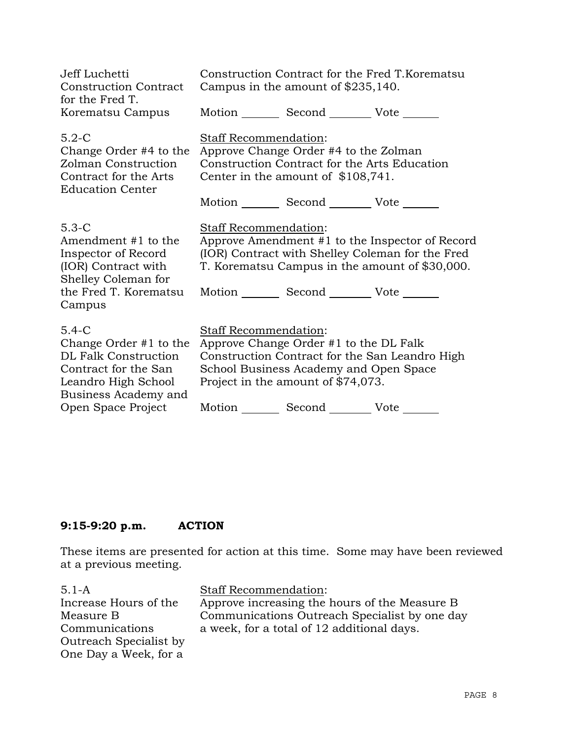| Jeff Luchetti<br><b>Construction Contract</b><br>for the Fred T.                                                                                                |                       | Campus in the amount of \$235,140.                                                                                                                                             | Construction Contract for the Fred T.Korematsu                                                                                                        |
|-----------------------------------------------------------------------------------------------------------------------------------------------------------------|-----------------------|--------------------------------------------------------------------------------------------------------------------------------------------------------------------------------|-------------------------------------------------------------------------------------------------------------------------------------------------------|
| Korematsu Campus                                                                                                                                                |                       | Motion Second Vote ______                                                                                                                                                      |                                                                                                                                                       |
| $5.2-C$<br>Change Order #4 to the<br>Zolman Construction<br>Contract for the Arts<br><b>Education Center</b>                                                    | Staff Recommendation: | Approve Change Order #4 to the Zolman<br>Construction Contract for the Arts Education<br>Center in the amount of \$108,741.<br>Motion _________ Second __________ Vote _______ |                                                                                                                                                       |
| $5.3-C$<br>Amendment #1 to the<br>Inspector of Record<br>(IOR) Contract with<br>Shelley Coleman for<br>the Fred T. Korematsu<br>Campus                          | Staff Recommendation: | Motion Second Vote                                                                                                                                                             | Approve Amendment #1 to the Inspector of Record<br>(IOR) Contract with Shelley Coleman for the Fred<br>T. Korematsu Campus in the amount of \$30,000. |
| $5.4-C$<br>Change Order $#1$ to the<br><b>DL Falk Construction</b><br>Contract for the San<br>Leandro High School<br>Business Academy and<br>Open Space Project | Staff Recommendation: | Approve Change Order #1 to the DL Falk<br>School Business Academy and Open Space<br>Project in the amount of \$74,073.<br>Motion _________ Second _________ Vote _______       | Construction Contract for the San Leandro High                                                                                                        |

# **9:15-9:20 p.m. ACTION**

These items are presented for action at this time. Some may have been reviewed at a previous meeting.

5.1-A Increase Hours of the Measure B Communications Outreach Specialist by One Day a Week, for a

Staff Recommendation: Approve increasing the hours of the Measure B Communications Outreach Specialist by one day a week, for a total of 12 additional days.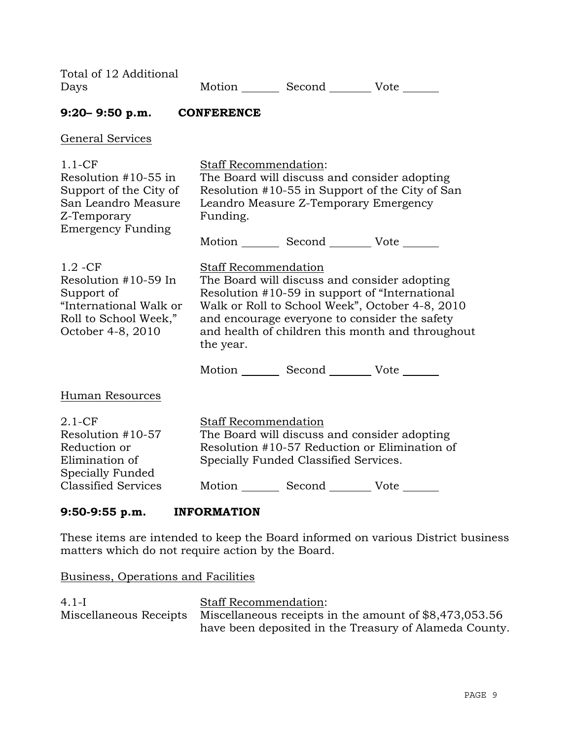| Days                                                                                                                           | Motion _________ Second __________ Vote _______                                                                                                                                                                                                                                                     |
|--------------------------------------------------------------------------------------------------------------------------------|-----------------------------------------------------------------------------------------------------------------------------------------------------------------------------------------------------------------------------------------------------------------------------------------------------|
| $9:20 - 9:50$ p.m. CONFERENCE                                                                                                  |                                                                                                                                                                                                                                                                                                     |
| General Services                                                                                                               |                                                                                                                                                                                                                                                                                                     |
| $1.1-CF$<br>Resolution $#10-55$ in<br>Support of the City of<br>San Leandro Measure<br>Z-Temporary<br><b>Emergency Funding</b> | <b>Staff Recommendation:</b><br>The Board will discuss and consider adopting<br>Resolution #10-55 in Support of the City of San<br>Leandro Measure Z-Temporary Emergency<br>Funding.<br>Motion _________ Second __________ Vote _______                                                             |
| $1.2 - CF$<br>Resolution #10-59 In<br>Support of<br>"International Walk or<br>Roll to School Week,"<br>October 4-8, 2010       | <b>Staff Recommendation</b><br>The Board will discuss and consider adopting<br>Resolution #10-59 in support of "International"<br>Walk or Roll to School Week", October 4-8, 2010<br>and encourage everyone to consider the safety<br>and health of children this month and throughout<br>the year. |
|                                                                                                                                | Motion _________ Second _________ Vote _______                                                                                                                                                                                                                                                      |
| <b>Human Resources</b>                                                                                                         |                                                                                                                                                                                                                                                                                                     |
| $2.1 - CF$<br>Resolution #10-57<br>Reduction or                                                                                | Staff Recommendation<br>The Board will discuss and consider adopting<br>Resolution #10-57 Reduction or Elimination of                                                                                                                                                                               |

Specially Funded Classified Services.

Motion Second Vote

#### **9:50-9:55 p.m. INFORMATION**

Elimination of Specially Funded Classified Services

Total of 12 Additional

These items are intended to keep the Board informed on various District business matters which do not require action by the Board.

Business, Operations and Facilities

| $4.1-I$ | <b>Staff Recommendation:</b>                                                  |
|---------|-------------------------------------------------------------------------------|
|         | Miscellaneous Receipts Miscellaneous receipts in the amount of \$8,473,053.56 |
|         | have been deposited in the Treasury of Alameda County.                        |